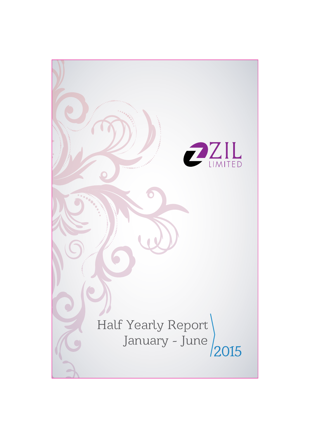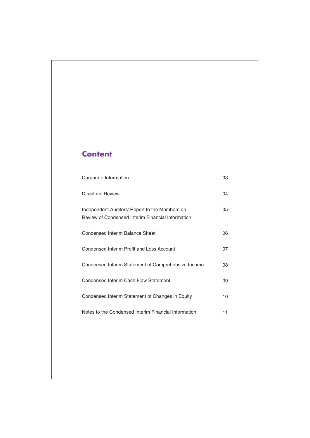# **Content**

| Corporate Information                                                                                      | 03 |
|------------------------------------------------------------------------------------------------------------|----|
| Directors' Review                                                                                          | 04 |
| Independent Auditors' Report to the Members on<br><b>Review of Condensed Interim Financial Information</b> | 05 |
| Condensed Interim Balance Sheet                                                                            | 06 |
| Condensed Interim Profit and Loss Account                                                                  | 07 |
| Condensed Interim Statement of Comprehensive Income                                                        | 08 |
| Condensed Interim Cash Flow Statement                                                                      | 09 |
| Condensed Interim Statement of Changes in Equity                                                           | 10 |
| Notes to the Condensed Interim Financial Information                                                       | 11 |
|                                                                                                            |    |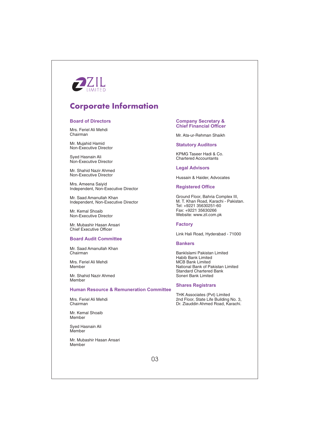

# **Corporate Information**

## **Board of Directors**

Mrs. Feriel Ali Mehdi Chairman

Mr. Mujahid Hamid Non-Executive Director

Sved Hasnain Ali Non-Executive Director

Mr. Shahid Nazir Ahmed Non-Executive Director

Mrs. Ameena Saivid Independent, Non-Executive Director

Mr. Saad Amanullah Khan Independent, Non-Executive Director

Mr. Kemal Shoaib Non-Executive Director

Mr. Mubashir Hasan Ansari **Chief Executive Officer** 

## **Board Audit Committee**

Mr. Saad Amanullah Khan Chairman

Mrs. Feriel Ali Mehdi Member

Mr. Shahid Nazir Ahmed Member

## **Human Resource & Remuneration Committee**

Mrs. Feriel Ali Mehdi Chairman

Mr. Kemal Shoaib Mamhar

Syed Hasnain Ali Member

Mr. Mubashir Hasan Ansari Member

#### **Company Secretary & Chief Financial Officer**

Mr. Ata-ur-Rehman Shaikh

## **Statutory Auditors**

KPMG Taseer Hadi & Co. **Chartered Accountants** 

# **Legal Advisors**

Hussain & Haider, Advocates

### **Registered Office**

Ground Floor, Bahria Complex III, M. T. Khan Road, Karachi - Pakistan. Tel: +9221 35630251-60 Fax: +9221 35630266 Website: www.zil.com.pk

# **Factory**

Link Hali Road, Hyderabad - 71000

### **Bankers**

BankIslami Pakistan Limited Habib Bank Limited **MCB Bank Limited** National Bank of Pakistan Limited **Standard Chartered Bank** Soneri Bank Limited

## **Shares Registrars**

THK Associates (Pvt) Limited<br>2nd Floor, State Life Building No. 3, Dr. Ziauddin Ahmed Road, Karachi.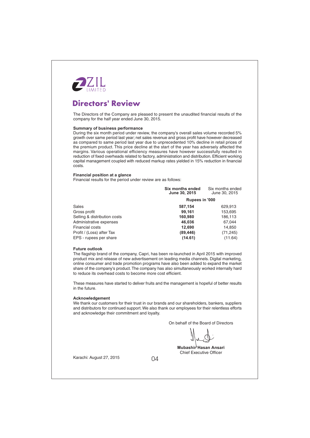

# **Directors' Review**

The Directors of the Company are pleased to present the unaudited financial results of the company for the half year ended June 30, 2015.

## **Summary of business performance**

During the six month period under review, the company's overall sales volume recorded 5% growth over same period last year; net sales revenue and gross profit have however decreased as compared to same period last year due to unprecedented 10% decline in retail prices of the premium product. This price decline at the start of the year has adversely affected the margins. Various operational efficiency measures have however successfully resulted in reduction of fixed overheads related to factory, administration and distribution. Efficient working capital management coupled with reduced markup rates yielded in 15% reduction in financial costs.

### Financial position at a glance

Financial results for the period under review are as follows:

|                              | Six months ended<br>June 30, 2015 | Six months ended<br>June 30, 2015 |  |
|------------------------------|-----------------------------------|-----------------------------------|--|
|                              | Rupees in '000                    |                                   |  |
| Sales                        | 587,154                           | 629,913                           |  |
| Gross profit                 | 99,161                            | 153,695                           |  |
| Selling & distribution costs | 160.980                           | 186,113                           |  |
| Administrative expenses      | 46.036                            | 67,044                            |  |
| Financial costs              | 12,690                            | 14,850                            |  |
| Profit / (Loss) after Tax    | (89, 446)                         | (71, 245)                         |  |
| EPS - rupees per share       | (14.61)                           | (11.64)                           |  |

### **Future outlook**

The flagship brand of the company, Capri, has been re-launched in April 2015 with improved product mix and release of new advertisement on leading media channels. Digital marketing, online consumer and trade promotion programs have also been added to expand the market share of the company's product. The company has also simultaneously worked internally hard to reduce its overhead costs to become more cost efficient.

These measures have started to deliver fruits and the management is hopeful of better results in the future.

### Acknowledgement

We thank our customers for their trust in our brands and our shareholders, bankers, suppliers and distributors for continued support. We also thank our employees for their relentless efforts and acknowledge their commitment and lovalty.

On behalf of the Board of Directors

Mubashir Hasan Ansari **Chief Executive Officer** 

Karachi: August 27, 2015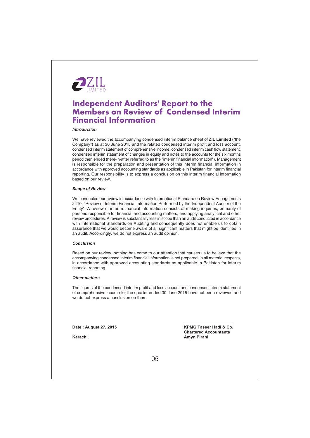

# **Independent Auditors' Report to the Members on Review of Condensed Interim Financial Information**

# **Introduction**

We have reviewed the accompanying condensed interim balance sheet of ZIL Limited ("the Company") as at 30 June 2015 and the related condensed interim profit and loss account, condensed interim statement of comprehensive income, condensed interim cash flow statement, condensed interim statement of changes in equity and notes to the accounts for the six months period then ended (here-in-after referred to as the "interim financial information"). Management is responsible for the preparation and presentation of this interim financial information in accordance with approved accounting standards as applicable in Pakistan for interim financial reporting. Our responsibility is to express a conclusion on this interim financial information based on our review.

#### **Scope of Review**

We conducted our review in accordance with International Standard on Review Engagements 2410, "Review of Interim Financial Information Performed by the Independent Auditor of the Entity". A review of interim financial information consists of making inquiries, primarily of persons responsible for financial and accounting matters, and applying analytical and other review procedures. A review is substantially less in scope than an audit conducted in accordance with International Standards on Auditing and consequently does not enable us to obtain assurance that we would become aware of all significant matters that might be identified in an audit. Accordingly, we do not express an audit opinion.

## Conclusion

Based on our review, nothing has come to our attention that causes us to believe that the accompanying condensed interim financial information is not prepared, in all material respects, in accordance with approved accounting standards as applicable in Pakistan for interim financial reporting.

## **Other matters**

The figures of the condensed interim profit and loss account and condensed interim statement of comprehensive income for the quarter ended 30 June 2015 have not been reviewed and we do not express a conclusion on them.

Date: August 27, 2015

Karachi

**KPMG Taseer Hadi & Co. Chartered Accountants** Amyn Pirani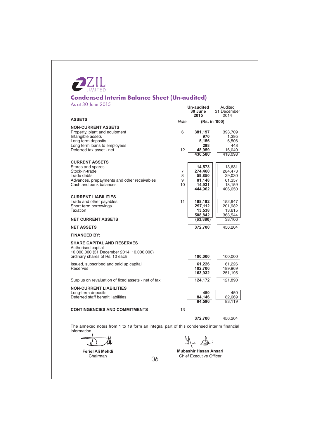# **PZIL Condensed Interim Balance Sheet (Un-audited)**  $0015$  $.001$

| As at 30 June 2015                                                                                                                                                |                   | Un-audited<br>30 June<br>2015                              | Audited<br>31 December<br>2014                             |
|-------------------------------------------------------------------------------------------------------------------------------------------------------------------|-------------------|------------------------------------------------------------|------------------------------------------------------------|
| <b>ASSETS</b>                                                                                                                                                     | Note              |                                                            | (Rs. in '000)                                              |
| <b>NON-CURRENT ASSETS</b><br>Property, plant and equipment<br>Intangible assets<br>Long term deposits<br>Long term loans to employees<br>Deferred tax asset - net | 6<br>12           | 381,197<br>970<br>5,156<br>298<br>48,959<br>436,580        | 393,709<br>1,395<br>6,506<br>448<br>16,040<br>418,098      |
| <b>CURRENT ASSETS</b><br>Stores and spares<br>Stock-in-trade<br>Trade debts<br>Advances, prepayments and other receivables<br>Cash and bank balances              | 7<br>8<br>9<br>10 | 14,573<br>274,460<br>59,850<br>81,148<br>14.931<br>444,962 | 13,631<br>284,473<br>29,030<br>61,357<br>18,159<br>406,650 |
| <b>CURRENT LIABILITIES</b><br>Trade and other payables<br>Short term borrowings<br>Taxation                                                                       | 11                | 198,192<br>297,112<br>13,538<br>508,842                    | 152,947<br>201,982<br>13,615<br>368,544                    |
| <b>NET CURRENT ASSETS</b>                                                                                                                                         |                   | (63, 880)                                                  | 38,106                                                     |
| <b>NET ASSETS</b>                                                                                                                                                 |                   | 372,700                                                    | 456,204                                                    |
| <b>FINANCED BY:</b>                                                                                                                                               |                   |                                                            |                                                            |
| <b>SHARE CAPITAL AND RESERVES</b><br>Authorised capital<br>10,000,000 (31 December 2014: 10,000,000)<br>ordinary shares of Rs. 10 each                            |                   | 100,000                                                    | 100,000                                                    |
| Issued, subscribed and paid up capital<br><b>Reserves</b>                                                                                                         |                   | 61,226<br>102,706<br>163,932                               | 61,226<br>189,969<br>251,195                               |
| Surplus on revaluation of fixed assets - net of tax                                                                                                               |                   | 124,172                                                    | 121,890                                                    |
| <b>NON-CURRENT LIABILITIES</b><br>Long-term deposits<br>Deferred staff benefit liabilities                                                                        |                   | 450<br>84,146<br>84.596                                    | 450<br>82,669<br>83.119                                    |
| <b>CONTINGENCIES AND COMMITMENTS</b>                                                                                                                              | 13                |                                                            |                                                            |
|                                                                                                                                                                   |                   | 372,700                                                    | 456,204                                                    |
| The annexed notes from 1 to 19 form an integral part of this condensed interim financial<br>information.                                                          |                   |                                                            |                                                            |
|                                                                                                                                                                   |                   |                                                            |                                                            |
|                                                                                                                                                                   |                   |                                                            |                                                            |

Feriel Ali Mehdi<br>Chairman

06

Mubashir Hasan Ansari Chief Executive Officer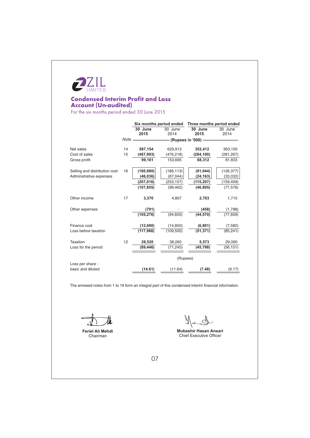

# **Condensed Interim Profit and Loss Account (Un-audited)**

For the six months period ended 30 June 2015

|                               |    | Six months period ended |                 | Three months period ended                                               |                 |
|-------------------------------|----|-------------------------|-----------------|-------------------------------------------------------------------------|-----------------|
|                               |    | 30 June<br>2015         | 30 June<br>2014 | $30$ June<br>2015                                                       | 30 June<br>2014 |
|                               |    |                         |                 | Note --------------------------- (Rupees in '000) --------------------- |                 |
| Net sales                     | 14 | 587,154                 | 629,913         | 352,412                                                                 | 363,100         |
| Cost of sales                 | 15 | (487, 993)              | (476, 218)      | (284, 100)                                                              | (281, 267)      |
| Gross profit                  |    | 99.161                  | 153,695         | 68,312                                                                  | 81,833          |
| Selling and distribution cost | 16 | (160, 980)              | (186, 113)      | (91, 044)                                                               | (126, 377)      |
| Administrative expenses       |    | (46, 036)               | (67, 044)       | (24, 163)                                                               | (33,032)        |
|                               |    | (207,016)               | (253,157)       | (115,207)                                                               | (159, 409)      |
|                               |    | (107, 855)              | (99, 462)       | (46, 895)                                                               | (77, 576)       |
| Other income                  | 17 | 3,370                   | 4,807           | 2,783                                                                   | 1,715           |
| Other expenses                |    | (791)                   |                 | (458)                                                                   | (1,798)         |
|                               |    | (105, 276)              | (94, 655)       | (44, 570)                                                               | (77, 659)       |
| Finance cost                  |    | (12,690)                | (14, 850)       | (6, 801)                                                                | (7, 582)        |
| Loss before taxation          |    | (117, 966)              | (109, 505)      | (51, 371)                                                               | (85, 241)       |
| Taxation                      | 12 | 28,520                  | 38,260          | 5,573                                                                   | 29,090          |
| Loss for the period           |    | (89, 446)               | (71, 245)       | (45, 798)                                                               | (56, 151)       |
|                               |    |                         | (Rupees)        |                                                                         |                 |
| Loss per share -              |    |                         |                 |                                                                         |                 |
| basic and diluted             |    | (14.61)                 | (11.64)         | (7.48)                                                                  | (9.17)          |

The annexed notes from 1 to 19 form an integral part of this condensed interim financial information.

Feriel Ali Mehdi Chairman

Nund

Mubashir Hasan Ansari Chief Executive Officer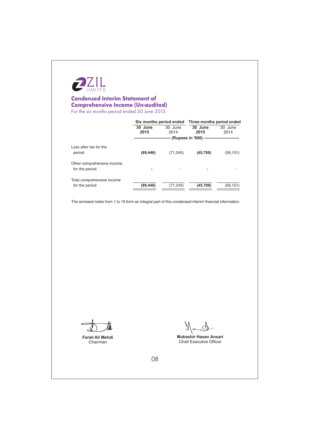

# **Condensed Interim Statement of Comprehensive Income (Un-audited)** For the six months period ended 30 June 2015

|                                              | Six months period ended Three months period ended |                 |                                  |                 |
|----------------------------------------------|---------------------------------------------------|-----------------|----------------------------------|-----------------|
|                                              | 30 June<br>2015                                   | 30 June<br>2014 | 30 June<br>2015                  | 30 June<br>2014 |
|                                              |                                                   |                 | -- (Rupees in '000) ------------ |                 |
| Loss after tax for the<br>period             | (89, 446)                                         | (71, 245)       | (45, 798)                        | (56, 151)       |
| Other comprehensive income<br>for the period | ۰                                                 |                 |                                  |                 |
| Total comprehensive income<br>for the period | (89, 446)                                         | (71, 245)       | (45, 798)                        | (56, 151)       |

The annexed notes from 1 to 19 form an integral part of this condensed interim financial information.

Feriel Ali Mehdi Chairman

Ñ

Mubashir Hasan Ansari Chief Executive Officer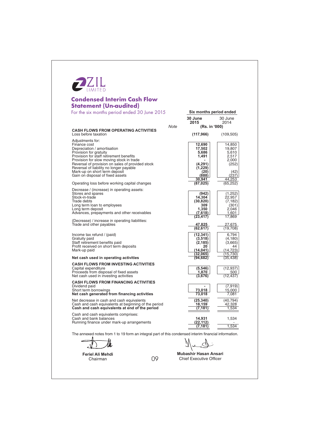| <b>Statement (Un-audited)</b>                                                       |             |                         |                   |
|-------------------------------------------------------------------------------------|-------------|-------------------------|-------------------|
| For the six months period ended 30 June 2015                                        |             | Six months period ended |                   |
|                                                                                     |             | 30 June<br>2015         | 30 June<br>2014   |
| <b>CASH FLOWS FROM OPERATING ACTIVITIES</b>                                         | <b>Note</b> | (Rs. in '000)           |                   |
| Loss before taxation                                                                |             | (117, 966)              | (109, 505)        |
| Adjustments for:                                                                    |             |                         |                   |
| Finance cost<br>Depreciation / amortisation                                         |             | 12,690<br>17,502        | 14,850<br>19,807  |
| Provision for gratuity                                                              |             | 5,686                   | 5,610             |
| Provision for staff retirement benefits<br>Provision for slow moving stock in trade |             | 1,491                   | 2,517<br>2,000    |
| Reversal of provision on sales of provided stock                                    |             | (4,291)                 | (252)             |
| Reversal of liability no longer payable                                             |             | (1,229)                 |                   |
| Mark-up on short term deposit<br>Gain on disposal of fixed assets                   |             | (20)<br>(888)           | (42)<br>(237)     |
|                                                                                     |             | 30,941                  | 44,253            |
| Operating loss before working capital changes                                       |             | (87, 025)               | (65,252)          |
| Decrease / (increase) in operating assets:                                          |             |                         |                   |
| Stores and spares<br>Stock-in-trade                                                 |             | (942)<br>14,304         | (1,252)<br>22.957 |
| Trade debts                                                                         |             | (30, 820)               | (7, 182)          |
| Long term loan to employees                                                         |             | 309                     | (301)             |
| Long term deposit<br>Advances, prepayments and other receivables                    |             | 1,350<br>(7,618)        | 2,046<br>1,601    |
|                                                                                     |             | (23, 417)               | 17,869            |
| (Decrease) / increase in operating liabilities:<br>Trade and other payables         |             | 47,825                  | 27,675            |
|                                                                                     |             | (62, 617)               | (19,708)          |
| Income tax refund / (paid)                                                          |             | (12, 341)               | 6,794             |
| Gratuity paid                                                                       |             | (3, 518)                | (4, 180)          |
| Staff retirement benefits paid                                                      |             | (2, 185)<br>20          | (3,665)<br>44     |
| Profit received on short term deposits<br>Mark-up paid                              |             | (14, 041)               | (14,723)          |
|                                                                                     |             | (32,065)                | (15,730)          |
| Net cash used in operating activities                                               |             | (94, 682)               | (35, 438)         |
| <b>CASH FLOWS FROM INVESTING ACTIVITIES</b>                                         |             |                         |                   |
| Capital expenditure<br>Proceeds from disposal of fixed assets                       |             | (5, 546)<br>1,870       | (12, 937)<br>500  |
| Net cash used in investing activities                                               |             | (3,676)                 | (12, 437)         |
| <b>CASH FLOWS FROM FINANCING ACTIVITIES</b>                                         |             |                         |                   |
| Dividend paid                                                                       |             |                         | (7,919)           |
| Short term borrowings<br>Net cash generated from financing activities               |             | 73,018<br>73,018        | 15,000<br>7,081   |
| Net decrease in cash and cash equivalents                                           |             | (25, 340)               | (40, 794)         |
| Cash and cash equivalents at beginning of the period                                |             | 18,159                  | 42,328            |
| Cash and cash equivalents at end of the period                                      |             | (7,181)                 | 1,534             |
| Cash and cash equivalents comprises:                                                |             |                         |                   |
| Cash and bank balances<br>Running finance under mark-up arrangements                |             | 14,931<br>(22, 112)     | 1,534             |
|                                                                                     |             | (7,181                  | 1,534             |

łł.  $\mathcal{N}$ 

Feriel Ali Mehdi Chairman

Mubashir Hasan Ansari<br>Chief Executive Officer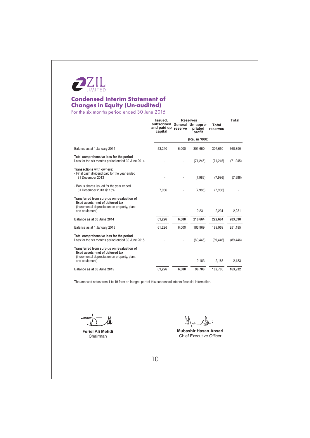

# **Condensed Interim Statement of Changes in Equity (Un-audited)**<br>For the six months period ended 30 June 2015

|                                                                                                                                                    | Issued.                              | <b>Reserves</b> |                                        |                   | Total     |  |
|----------------------------------------------------------------------------------------------------------------------------------------------------|--------------------------------------|-----------------|----------------------------------------|-------------------|-----------|--|
|                                                                                                                                                    | subscribed<br>and paid up<br>capital | reserve         | General Un-appro-<br>priated<br>profit | Total<br>reserves |           |  |
|                                                                                                                                                    |                                      |                 | (Rs. in '000)                          |                   |           |  |
| Balance as at 1 January 2014                                                                                                                       | 53,240                               | 6,000           | 301,650                                | 307,650           | 360,890   |  |
| Total comprehensive loss for the period<br>Loss for the six months period ended 30 June 2014                                                       |                                      |                 | (71, 245)                              | (71, 245)         | (71, 245) |  |
| Transactions with owners:<br>- Final cash dividend paid for the year ended<br>31 December 2013                                                     |                                      |                 | (7,986)                                | (7,986)           | (7,986)   |  |
| - Bonus shares issued for the year ended<br>31 December 2013 @ 15%                                                                                 | 7.986                                |                 | (7,986)                                | (7,986)           |           |  |
| Transferred from surplus on revaluation of<br>fixed assets - net of deferred tax<br>(incremental depreciation on property, plant<br>and equipment) |                                      |                 | 2,231                                  | 2,231             | 2,231     |  |
| Balance as at 30 June 2014                                                                                                                         | 61,226                               | 6,000           | 216,664                                | 222,664           | 283,890   |  |
| Balance as at 1 January 2015                                                                                                                       | 61,226                               | 6.000           | 183.969                                | 189.969           | 251,195   |  |
| Total comprehensive loss for the period<br>Loss for the six months period ended 30 June 2015                                                       |                                      |                 | (89, 446)                              | (89, 446)         | (89, 446) |  |
| Transferred from surplus on revaluation of<br>fixed assets - net of deferred tax<br>(incremental depreciation on property, plant<br>and equipment) |                                      |                 | 2.183                                  | 2.183             | 2,183     |  |
| Balance as at 30 June 2015                                                                                                                         | 61,226                               | 6,000           | 96,706                                 | 102,706           | 163,932   |  |
|                                                                                                                                                    |                                      |                 |                                        |                   |           |  |

The annexed notes from 1 to 19 form an integral part of this condensed interim financial information.

Feriel Ali Mehdi Chairman

Nuch

Mubashir Hasan Ansari Chief Executive Officer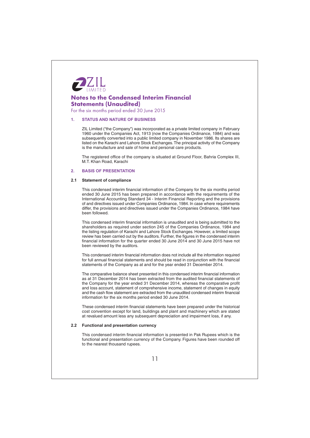

For the six months period ended 30 June 2015

#### **STATUS AND NATURE OF BUSINESS**  $\blacksquare$

ZIL Limited ("the Company") was incorporated as a private limited company in February 1960 under the Companies Act, 1913 (now the Companies Ordinance, 1984) and was subsequently converted into a public limited company in November 1986. Its shares are listed on the Karachi and Lahore Stock Exchanges. The principal activity of the Company is the manufacture and sale of home and personal care products.

The registered office of the company is situated at Ground Floor, Bahria Complex III, M.T. Khan Road, Karachi

#### **BASIS OF PRESENTATION**  $\overline{2}$

### 2.1 Statement of compliance

This condensed interim financial information of the Company for the six months period ended 30 June 2015 has been prepared in accordance with the requirements of the International Accounting Standard 34 - Interim Financial Reporting and the provisions of and directives issued under Companies Ordinance, 1984. In case where requirements differ, the provisions and directives issued under the Companies Ordinance, 1984 have been followed.

This condensed interim financial information is unaudited and is being submitted to the shareholders as required under section 245 of the Companies Ordinance, 1984 and the listing regulation of Karachi and Lahore Stock Exchanges. However, a limited scope review has been carried out by the auditors. Further, the figures in the condensed interim financial information for the quarter ended 30 June 2014 and 30 June 2015 have not been reviewed by the auditors.

This condensed interim financial information does not include all the information required for full annual financial statements and should be read in conjunction with the financial statements of the Company as at and for the year ended 31 December 2014.

The comparative balance sheet presented in this condensed interim financial information as at 31 December 2014 has been extracted from the audited financial statements of the Company for the year ended 31 December 2014, whereas the comparative profit and loss account, statement of comprehensive income, statement of changes in equity and the cash flow statement are extracted from the unaudited condensed interim financial information for the six months period ended 30 June 2014.

These condensed interim financial statements have been prepared under the historical cost convention except for land, buildings and plant and machinery which are stated at revalued amount less any subsequent depreciation and impairment loss, if any.

#### 2.2 Functional and presentation currency

This condensed interim financial information is presented in Pak Rupees which is the functional and presentation currency of the Company. Figures have been rounded off to the nearest thousand rupees.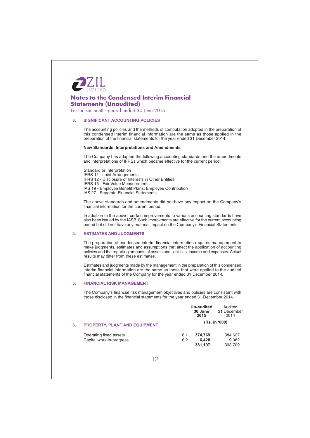

For the six months period ended 30 June 2015

#### $\mathbf{3}$ **SIGNIFICANT ACCOUNTING POLICIES**

The accounting policies and the methods of computation adopted in the preparation of this condensed interim financial information are the same as those applied in the preparation of the financial statements for the year ended 31 December 2014.

### **New Standards, Interpretations and Amendments**

The Company has adapted the following accounting standards and the amendments and interpretations of IFRSs which became effective for the current period:

Standard or Interpretation IFRS 11 - Joint Arrangements IFRS 12 - Disclosure of Interests in Other Entities IFRS 13 - Fair Value Measurements IAS 19 - Employee Benefit Plans: Employee Contribution IAS 27 - Separate Financial Statements

The above standards and amendments did not have any impact on the Company's financial information for the current period.

In addition to the above, certain improvements to various accounting standards have also been issued by the IASB. Such improvments are effective for the current accounting period but did not have any material impact on the Company's Financial Statements

#### $\overline{\mathbf{4}}$ . **ESTIMATES AND JUDGMENTS**

The preparation of condensed interim financial information requires management to make judgments, estimates and assumptions that affect the application of accounting<br>policies and the reporting amounts of assets and liabilities, income and expenses. Actual results may differ from these estimates.

Estimates and judgments made by the management in the preparation of this condensed interim financial information are the same as those that were applied to the audited financial statements of the Company for the year ended 31 December 2014.

#### **FINANCIAL RISK MANAGEMENT**  $5<sup>1</sup>$

The Company's financial risk management objectives and policies are consistent with those disclosed in the financial statements for the year ended 31 December 2014.

| 30 June | 31 December   |
|---------|---------------|
| 2015    | 2014          |
|         | (Rs. in '000) |
| 374.769 | 384,627       |
| 6.428   | 9,082         |
| 381,197 | 393,709       |
|         | 6.1<br>6.2    |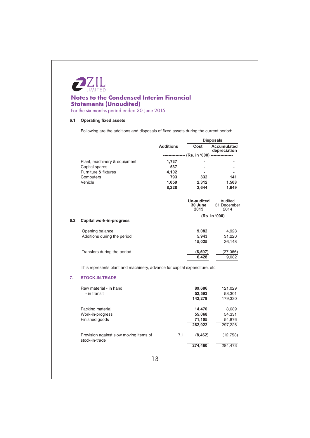

# **Notes to the Condensed Interim Financial Statements (Unaudited)**<br>For the six months period ended 30 June 2015

# 6.1 Operating fixed assets

Following are the additions and disposals of fixed assets during the current period:

|     |                                                                            |                  |                                                 | <b>Disposals</b>                   |
|-----|----------------------------------------------------------------------------|------------------|-------------------------------------------------|------------------------------------|
|     |                                                                            | <b>Additions</b> | Cost                                            | <b>Accumulated</b><br>depreciation |
|     |                                                                            |                  | ---------------- (Rs. in '000) ---------------- |                                    |
|     | Plant, machinery & equipment                                               | 1,737            |                                                 |                                    |
|     | Capital spares                                                             | 537              |                                                 |                                    |
|     | Furniture & fixtures                                                       | 4,102            |                                                 |                                    |
|     | Computers                                                                  | 793              | 332                                             | 141                                |
|     | Vehicle                                                                    | 1,059            | 2,312                                           | 1,508                              |
|     |                                                                            | 8,228            | 2,644                                           | 1,649                              |
|     |                                                                            |                  | <b>Un-audited</b><br>30 June<br>2015            | Audited<br>31 December<br>2014     |
| 6.2 | Capital work-in-progress                                                   |                  |                                                 | (Rs. in '000)                      |
|     | Opening balance                                                            |                  | 9,082                                           | 4,928                              |
|     | Additions during the period                                                |                  | 5,943                                           | 31,220                             |
|     |                                                                            |                  | 15,025                                          | 36,148                             |
|     |                                                                            |                  |                                                 |                                    |
|     | Transfers during the period                                                |                  | (8, 597)                                        | (27,066)                           |
|     |                                                                            |                  | 6,428                                           | 9,082                              |
|     | This represents plant and machinery, advance for capital expenditure, etc. |                  |                                                 |                                    |
|     | <b>STOCK-IN-TRADE</b>                                                      |                  |                                                 |                                    |
|     | Raw material - in hand                                                     |                  | 89,686                                          | 121,029                            |
|     | - in transit                                                               |                  | 52,593                                          | 58,301                             |
|     |                                                                            |                  | 142,279                                         | 179,330                            |
|     | Packing material                                                           |                  | 14,470                                          | 8,689                              |
|     | Work-in-progress                                                           |                  | 55,068                                          | 54,331                             |
|     | Finished goods                                                             |                  | 71,105                                          | 54,876                             |
|     |                                                                            |                  | 282,922                                         | 297,226                            |
| 7.  | Provision against slow moving items of<br>stock-in-trade                   | 7.1              | (8, 462)                                        | (12, 753)                          |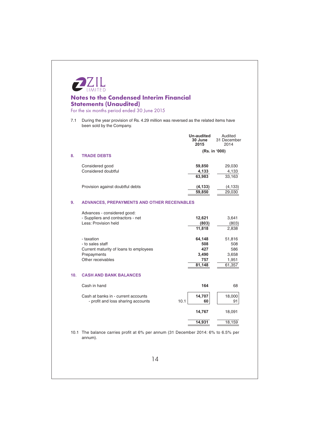|     | <b>Notes to the Condensed Interim Financial</b><br><b>Statements (Unaudited)</b><br>For the six months period ended 30 June 2015 |                                                |                                                  |
|-----|----------------------------------------------------------------------------------------------------------------------------------|------------------------------------------------|--------------------------------------------------|
| 7.1 | During the year provision of Rs. 4.29 million was reversed as the related items have<br>been sold by the Company.                |                                                |                                                  |
|     |                                                                                                                                  | <b>Un-audited</b><br>30 June<br>2015           | Audited<br>31 December<br>2014                   |
| 8.  | <b>TRADE DEBTS</b>                                                                                                               |                                                | (Rs. in '000)                                    |
|     | Considered good<br>Considered doubtful                                                                                           | 59,850<br>4,133<br>63,983                      | 29,030<br>4,133<br>33,163                        |
|     | Provision against doubtful debts                                                                                                 | (4, 133)<br>59,850                             | (4, 133)<br>29,030                               |
| 9.  | ADVANCES, PREPAYMENTS AND OTHER RECEIVABLES                                                                                      |                                                |                                                  |
|     | Advances - considered good:<br>- Suppliers and contractors - net<br>Less: Provision held                                         | 12,621<br>(803)<br>11,818                      | 3,641<br>(803)<br>2,838                          |
|     | - taxation<br>- to sales staff<br>Current maturity of loans to employees<br>Prepayments<br>Other receivables                     | 64,148<br>508<br>427<br>3,490<br>757<br>81,148 | 51,816<br>508<br>586<br>3,658<br>1,951<br>61,357 |
| 10. | <b>CASH AND BANK BALANCES</b>                                                                                                    |                                                |                                                  |
|     | Cash in hand                                                                                                                     | 164                                            | 68                                               |
|     | Cash at banks in - current accounts<br>10.1<br>- profit and loss sharing accounts                                                | 14,707<br>60                                   | 18,000<br>91                                     |
|     |                                                                                                                                  | 14,767                                         | 18,091                                           |
|     |                                                                                                                                  | 14,931                                         | 18,159                                           |
|     | 10.1 The balance carries profit at 6% per annum (31 December 2014: 6% to 6.5% per<br>annum).                                     |                                                |                                                  |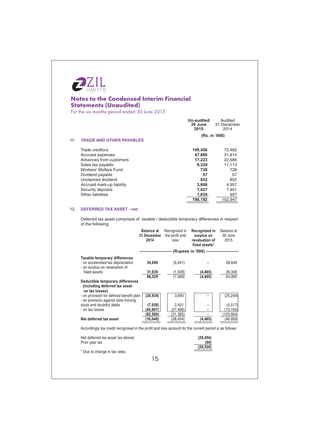

For the six months period ended 30 June 2015

|     |                                 | Un-audited<br>30 June<br>2015 | Audited<br>31 December<br>2014 |
|-----|---------------------------------|-------------------------------|--------------------------------|
| 11. | <b>TRADE AND OTHER PAYABLES</b> |                               | (Rs. in '000)                  |
|     |                                 |                               |                                |
|     | Trade creditors                 | 109,456                       | 72,482                         |
|     | Accrued expenses                | 47,860                        | 31,814                         |
|     | Advances from customers         | 17.223                        | 22,586                         |
|     | Sales tax payable               | 9.329                         | 11.113                         |
|     | Workers' Welfare Fund           | 728                           | 728                            |
|     | Dividend payable                | 57                            | 57                             |
|     | Unclaimed dividend              | 852                           | 852                            |
|     | Accrued mark-up liability       | 3,606                         | 4,957                          |
|     | Security deposits               | 7,427                         | 7.401                          |
|     | <b>Other liabilities</b>        | 1,654                         | 957                            |
|     |                                 | 198,192                       | 152.947                        |

# 12. DEFERRED TAX ASSET - net

Deferred tax asset comprises of taxable / deductible temporary differences in respect of the following:

|                                                                                                        | <b>Balance at</b><br>31 December<br>2014 | Recognized in<br>the profit and<br>loss | Recognized in<br>surplus on<br>revaluation of<br>fixed assets* | Balance at<br>30 June<br>2015 |
|--------------------------------------------------------------------------------------------------------|------------------------------------------|-----------------------------------------|----------------------------------------------------------------|-------------------------------|
|                                                                                                        |                                          |                                         | --------------------- (Rupees in '000) ----------------------- |                               |
| Taxable temporary differences<br>- on accelerated tax depreciation<br>- on surplus on revaluation of   | 34,690                                   | (6,041)                                 |                                                                | 28,649                        |
| fixed assets                                                                                           | 31,839                                   | (1,028)                                 | (4, 465)                                                       | 26,346                        |
|                                                                                                        | 66.529                                   | (7,069)                                 | (4, 465)                                                       | 54,995                        |
| Deductible temporary differences<br>(including deferred tax asset<br>on tax losses)                    |                                          |                                         |                                                                |                               |
| - on provision for defined benefit plan<br>- on provision against slow moving                          | (28, 934)                                | 3,690                                   |                                                                | (25, 244)                     |
| stock and doubtful debts<br>- on tax losses                                                            | (7,938)<br>(45,697)                      | 2,421<br>(27, 496)                      |                                                                | (5, 517)<br>(73, 193)         |
|                                                                                                        | (82,569)                                 | (21, 385)                               |                                                                | (103, 954)                    |
| Net deferred tax asset                                                                                 | (16,040)                                 | (28,454)                                | (4, 465)                                                       | (48, 959)                     |
| Accordingly tax credit recognised in the profit and loss account for the current period is as follows: |                                          |                                         |                                                                |                               |
| Net deferred tax asset (as above)<br>Prior year tax                                                    |                                          |                                         | (28, 454)<br>(66)<br>(28,520)                                  |                               |
| * Due to change in tax rates.                                                                          |                                          |                                         |                                                                |                               |
|                                                                                                        | 15                                       |                                         |                                                                |                               |
|                                                                                                        |                                          |                                         |                                                                |                               |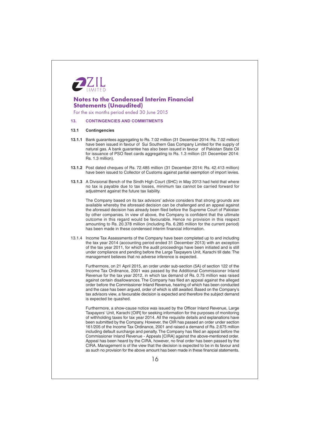

For the six months period ended 30 June 2015

#### **CONTINGENCIES AND COMMITMENTS**  $13.$

#### $13.1$ **Contingencies**

- 13.1.1 Bank guarantees aggregating to Rs. 7.02 million (31 December 2014: Rs. 7.02 million) have been issued in favour of Sui Southern Gas Company Limited for the supply of natural gas. A bank guarantee has also been issued in favour of Pakistan State Oil for issuance of PSO fleet cards aggregating to Rs. 1.3 million (31 December 2014: Rs. 1.3 million).
- 13.1.2 Post dated cheques of Rs. 72.485 million (31 December 2014: Rs. 42.413 million) have been issued to Collector of Customs against partial exemption of import levies.
- 13.1.3 A Divisional Bench of the Sindh High Court (SHC) in May 2013 had held that where no tax is payable due to tax losses, minimum tax cannot be carried forward for adjustment against the future tax liability.

The Company based on its tax advisors' advice considers that strong grounds are available whereby the aforesaid decision can be challenged and an appeal against the aforesaid decision has already been filed before the Supreme Court of Pakistan by other companies. In view of above, the Company is confident that the ultimate outcome in this regard would be favourable. Hence no provision in this respect amounting to Rs. 20.378 million (including Rs. 6.285 million for the current period) has been made in these condensed interim financial information.

13.1.4 Income Tax Assessments of the Company have been completed up to and including the tax year 2014 (accounting period ended 31 December 2013) with an exception of the tax year 2011, for which the audit proceedings have been initiated and is still under compliance and pending before the Large Taxpayers Unit, Karachi till date. The management believes that no adverse inference is expected.

Furthermore, on 21 April 2015, an order under sub-section (5A) of section 122 of the Income Tax Ordinance, 2001 was passed by the Additional Commissioner Inland Revenue for the tax year 2012, in which tax demand of Rs. 0.75 million was raised against certain disallowances. The Company has filed an appeal against the alleged order before the Commissioner Inland Revenue, hearing of which has been conducted and the case has been arqued, order of which is still awaited. Based on the Company's tax advisors view, a favourable decision is expected and therefore the subject demand is expected be quashed.

Furthermore, a show-cause notice was issued by the Officer Inland Revenue, Large Taxpayers' Unit, Karachi [OIR] for seeking information for the purposes of monitoring of withholding taxes for tax year 2014. All the requisite details and explanations have been submitted by the Company. However, the OIR has passed an order under section 161/205 of the Income Tax Ordinance, 2001 and raised a demand of Rs. 2.675 million including default surcharge and penalty. The Company has filed an appeal before the Commissioner Inland Revenue - Appeals [CIRA] against the above-mentioned order.<br>Appeal has been heard by the CIRA, however, no final order has been passed by the CIRA. Management is of the view that the decision is expected to be in its favour and as such no provision for the above amount has been made in these financial statements.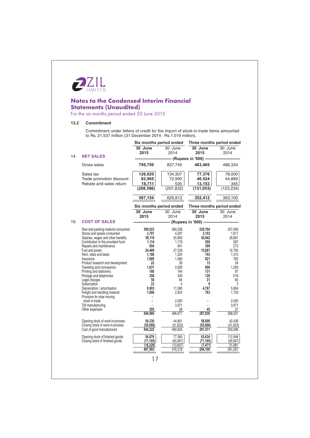

For the six months period ended 30 June 2015

# 13.2 Commitment

Commitment under letters of credit for the import of stock-in-trade items amounted to Rs. 21.537 million (31 December 2014 : Rs.1.019 million).

| 30 June<br>30 June<br>30 June<br>30 June<br>2015<br>2014<br>2015<br>2014<br>14.<br><b>NET SALES</b><br>-------------------- (Rupees in '000) ---------------<br>Gross sales<br>795,750<br>837,745<br>483,465<br>126,920<br>77,376<br>Sales tax<br>134,307<br>Trade promotion discount<br>62,965<br>72,990<br>40,524<br>Rebate and sales return<br>13,153<br>18,711<br>535<br>(208, 596)<br>(207, 832)<br>(131, 053)<br>587,154<br>352,412<br>629,913<br>Six months period ended<br>Three months period ended<br>30 June<br>30 June<br>30 June<br>30 June<br>2015<br>2014<br>2015<br>2014<br>15.<br><b>COST OF SALES</b><br>-------------------- (Rupees in '000) -------------------<br>Raw and packing material consumed<br>399,023<br>380,256<br>229,764<br>Stores and spares consumed<br>3,701<br>4,297<br>2,103<br>Salaries, wages and other benefits<br>59,118<br>30.942<br>55,893<br>Contribution to the provident fund<br>1,114<br>558<br>1,179<br>654<br>399<br>Repairs and maintenance<br>841<br>24,469<br>Fuel and power<br>27,539<br>15,687<br>Rent, rates and taxes<br>1,186<br>1,324<br>743<br>1,609<br>1,560<br>821<br>Insurance<br>782<br>Product research and development<br>22<br>36<br>13<br>1,631<br>906<br>Travelling and conveyance<br>2,626<br>1,259<br>188<br>131<br>Printing and stationery<br>164<br>256<br>128<br>Postage and telephones<br>340<br>Legal charges<br>31<br>50<br>84<br>23<br>Subscription<br>4<br>9<br>Depreciation / amortisation<br>9,903<br>11,580<br>4,767<br>1,808<br>Freight and handling material<br>2,924<br>783<br>Provision for slow moving<br>stock in trade<br>2,000<br>2,000<br>3,971<br>Toll manufacturing<br>205<br>45<br>Other expenses<br>59<br>504,960<br>496,677<br>287,830<br>58,809<br>Opening stock of work-in-process<br>54,330<br>44,801<br>Closing stock of work-in-process<br>(55,068)<br>(55,068)<br>(51, 653)<br>(51, 653) |                           | Six months period ended |         | Three months period ended |            |
|-------------------------------------------------------------------------------------------------------------------------------------------------------------------------------------------------------------------------------------------------------------------------------------------------------------------------------------------------------------------------------------------------------------------------------------------------------------------------------------------------------------------------------------------------------------------------------------------------------------------------------------------------------------------------------------------------------------------------------------------------------------------------------------------------------------------------------------------------------------------------------------------------------------------------------------------------------------------------------------------------------------------------------------------------------------------------------------------------------------------------------------------------------------------------------------------------------------------------------------------------------------------------------------------------------------------------------------------------------------------------------------------------------------------------------------------------------------------------------------------------------------------------------------------------------------------------------------------------------------------------------------------------------------------------------------------------------------------------------------------------------------------------------------------------------------------------------------------------------------------------------------------------|---------------------------|-------------------------|---------|---------------------------|------------|
|                                                                                                                                                                                                                                                                                                                                                                                                                                                                                                                                                                                                                                                                                                                                                                                                                                                                                                                                                                                                                                                                                                                                                                                                                                                                                                                                                                                                                                                                                                                                                                                                                                                                                                                                                                                                                                                                                                 |                           |                         |         |                           |            |
|                                                                                                                                                                                                                                                                                                                                                                                                                                                                                                                                                                                                                                                                                                                                                                                                                                                                                                                                                                                                                                                                                                                                                                                                                                                                                                                                                                                                                                                                                                                                                                                                                                                                                                                                                                                                                                                                                                 |                           |                         |         |                           |            |
|                                                                                                                                                                                                                                                                                                                                                                                                                                                                                                                                                                                                                                                                                                                                                                                                                                                                                                                                                                                                                                                                                                                                                                                                                                                                                                                                                                                                                                                                                                                                                                                                                                                                                                                                                                                                                                                                                                 |                           |                         |         |                           |            |
|                                                                                                                                                                                                                                                                                                                                                                                                                                                                                                                                                                                                                                                                                                                                                                                                                                                                                                                                                                                                                                                                                                                                                                                                                                                                                                                                                                                                                                                                                                                                                                                                                                                                                                                                                                                                                                                                                                 |                           |                         |         |                           | 486,334    |
|                                                                                                                                                                                                                                                                                                                                                                                                                                                                                                                                                                                                                                                                                                                                                                                                                                                                                                                                                                                                                                                                                                                                                                                                                                                                                                                                                                                                                                                                                                                                                                                                                                                                                                                                                                                                                                                                                                 |                           |                         |         |                           | 78,000     |
|                                                                                                                                                                                                                                                                                                                                                                                                                                                                                                                                                                                                                                                                                                                                                                                                                                                                                                                                                                                                                                                                                                                                                                                                                                                                                                                                                                                                                                                                                                                                                                                                                                                                                                                                                                                                                                                                                                 |                           |                         |         |                           | 44,889     |
|                                                                                                                                                                                                                                                                                                                                                                                                                                                                                                                                                                                                                                                                                                                                                                                                                                                                                                                                                                                                                                                                                                                                                                                                                                                                                                                                                                                                                                                                                                                                                                                                                                                                                                                                                                                                                                                                                                 |                           |                         |         |                           | 345        |
|                                                                                                                                                                                                                                                                                                                                                                                                                                                                                                                                                                                                                                                                                                                                                                                                                                                                                                                                                                                                                                                                                                                                                                                                                                                                                                                                                                                                                                                                                                                                                                                                                                                                                                                                                                                                                                                                                                 |                           |                         |         |                           | (123, 234) |
|                                                                                                                                                                                                                                                                                                                                                                                                                                                                                                                                                                                                                                                                                                                                                                                                                                                                                                                                                                                                                                                                                                                                                                                                                                                                                                                                                                                                                                                                                                                                                                                                                                                                                                                                                                                                                                                                                                 |                           |                         |         |                           | 363,100    |
|                                                                                                                                                                                                                                                                                                                                                                                                                                                                                                                                                                                                                                                                                                                                                                                                                                                                                                                                                                                                                                                                                                                                                                                                                                                                                                                                                                                                                                                                                                                                                                                                                                                                                                                                                                                                                                                                                                 |                           |                         |         |                           |            |
|                                                                                                                                                                                                                                                                                                                                                                                                                                                                                                                                                                                                                                                                                                                                                                                                                                                                                                                                                                                                                                                                                                                                                                                                                                                                                                                                                                                                                                                                                                                                                                                                                                                                                                                                                                                                                                                                                                 |                           |                         |         |                           |            |
|                                                                                                                                                                                                                                                                                                                                                                                                                                                                                                                                                                                                                                                                                                                                                                                                                                                                                                                                                                                                                                                                                                                                                                                                                                                                                                                                                                                                                                                                                                                                                                                                                                                                                                                                                                                                                                                                                                 |                           |                         |         |                           |            |
|                                                                                                                                                                                                                                                                                                                                                                                                                                                                                                                                                                                                                                                                                                                                                                                                                                                                                                                                                                                                                                                                                                                                                                                                                                                                                                                                                                                                                                                                                                                                                                                                                                                                                                                                                                                                                                                                                                 |                           |                         |         |                           |            |
|                                                                                                                                                                                                                                                                                                                                                                                                                                                                                                                                                                                                                                                                                                                                                                                                                                                                                                                                                                                                                                                                                                                                                                                                                                                                                                                                                                                                                                                                                                                                                                                                                                                                                                                                                                                                                                                                                                 |                           |                         |         |                           | 207,009    |
|                                                                                                                                                                                                                                                                                                                                                                                                                                                                                                                                                                                                                                                                                                                                                                                                                                                                                                                                                                                                                                                                                                                                                                                                                                                                                                                                                                                                                                                                                                                                                                                                                                                                                                                                                                                                                                                                                                 |                           |                         |         |                           | 1,817      |
|                                                                                                                                                                                                                                                                                                                                                                                                                                                                                                                                                                                                                                                                                                                                                                                                                                                                                                                                                                                                                                                                                                                                                                                                                                                                                                                                                                                                                                                                                                                                                                                                                                                                                                                                                                                                                                                                                                 |                           |                         |         |                           | 28,681     |
|                                                                                                                                                                                                                                                                                                                                                                                                                                                                                                                                                                                                                                                                                                                                                                                                                                                                                                                                                                                                                                                                                                                                                                                                                                                                                                                                                                                                                                                                                                                                                                                                                                                                                                                                                                                                                                                                                                 |                           |                         |         |                           | 587        |
|                                                                                                                                                                                                                                                                                                                                                                                                                                                                                                                                                                                                                                                                                                                                                                                                                                                                                                                                                                                                                                                                                                                                                                                                                                                                                                                                                                                                                                                                                                                                                                                                                                                                                                                                                                                                                                                                                                 |                           |                         |         |                           | 273        |
|                                                                                                                                                                                                                                                                                                                                                                                                                                                                                                                                                                                                                                                                                                                                                                                                                                                                                                                                                                                                                                                                                                                                                                                                                                                                                                                                                                                                                                                                                                                                                                                                                                                                                                                                                                                                                                                                                                 |                           |                         |         |                           | 12,765     |
|                                                                                                                                                                                                                                                                                                                                                                                                                                                                                                                                                                                                                                                                                                                                                                                                                                                                                                                                                                                                                                                                                                                                                                                                                                                                                                                                                                                                                                                                                                                                                                                                                                                                                                                                                                                                                                                                                                 |                           |                         |         |                           | 1,315      |
|                                                                                                                                                                                                                                                                                                                                                                                                                                                                                                                                                                                                                                                                                                                                                                                                                                                                                                                                                                                                                                                                                                                                                                                                                                                                                                                                                                                                                                                                                                                                                                                                                                                                                                                                                                                                                                                                                                 |                           |                         |         |                           | 24         |
|                                                                                                                                                                                                                                                                                                                                                                                                                                                                                                                                                                                                                                                                                                                                                                                                                                                                                                                                                                                                                                                                                                                                                                                                                                                                                                                                                                                                                                                                                                                                                                                                                                                                                                                                                                                                                                                                                                 |                           |                         |         |                           |            |
|                                                                                                                                                                                                                                                                                                                                                                                                                                                                                                                                                                                                                                                                                                                                                                                                                                                                                                                                                                                                                                                                                                                                                                                                                                                                                                                                                                                                                                                                                                                                                                                                                                                                                                                                                                                                                                                                                                 |                           |                         |         |                           | 87         |
|                                                                                                                                                                                                                                                                                                                                                                                                                                                                                                                                                                                                                                                                                                                                                                                                                                                                                                                                                                                                                                                                                                                                                                                                                                                                                                                                                                                                                                                                                                                                                                                                                                                                                                                                                                                                                                                                                                 |                           |                         |         |                           | 218        |
|                                                                                                                                                                                                                                                                                                                                                                                                                                                                                                                                                                                                                                                                                                                                                                                                                                                                                                                                                                                                                                                                                                                                                                                                                                                                                                                                                                                                                                                                                                                                                                                                                                                                                                                                                                                                                                                                                                 |                           |                         |         |                           | 60         |
|                                                                                                                                                                                                                                                                                                                                                                                                                                                                                                                                                                                                                                                                                                                                                                                                                                                                                                                                                                                                                                                                                                                                                                                                                                                                                                                                                                                                                                                                                                                                                                                                                                                                                                                                                                                                                                                                                                 |                           |                         |         |                           | 3          |
|                                                                                                                                                                                                                                                                                                                                                                                                                                                                                                                                                                                                                                                                                                                                                                                                                                                                                                                                                                                                                                                                                                                                                                                                                                                                                                                                                                                                                                                                                                                                                                                                                                                                                                                                                                                                                                                                                                 |                           |                         |         |                           | 5,894      |
|                                                                                                                                                                                                                                                                                                                                                                                                                                                                                                                                                                                                                                                                                                                                                                                                                                                                                                                                                                                                                                                                                                                                                                                                                                                                                                                                                                                                                                                                                                                                                                                                                                                                                                                                                                                                                                                                                                 |                           |                         |         |                           | 1,729      |
|                                                                                                                                                                                                                                                                                                                                                                                                                                                                                                                                                                                                                                                                                                                                                                                                                                                                                                                                                                                                                                                                                                                                                                                                                                                                                                                                                                                                                                                                                                                                                                                                                                                                                                                                                                                                                                                                                                 |                           |                         |         |                           |            |
|                                                                                                                                                                                                                                                                                                                                                                                                                                                                                                                                                                                                                                                                                                                                                                                                                                                                                                                                                                                                                                                                                                                                                                                                                                                                                                                                                                                                                                                                                                                                                                                                                                                                                                                                                                                                                                                                                                 |                           |                         |         |                           | 3,971      |
|                                                                                                                                                                                                                                                                                                                                                                                                                                                                                                                                                                                                                                                                                                                                                                                                                                                                                                                                                                                                                                                                                                                                                                                                                                                                                                                                                                                                                                                                                                                                                                                                                                                                                                                                                                                                                                                                                                 |                           |                         |         |                           | 27         |
|                                                                                                                                                                                                                                                                                                                                                                                                                                                                                                                                                                                                                                                                                                                                                                                                                                                                                                                                                                                                                                                                                                                                                                                                                                                                                                                                                                                                                                                                                                                                                                                                                                                                                                                                                                                                                                                                                                 |                           |                         |         |                           | 268,501    |
|                                                                                                                                                                                                                                                                                                                                                                                                                                                                                                                                                                                                                                                                                                                                                                                                                                                                                                                                                                                                                                                                                                                                                                                                                                                                                                                                                                                                                                                                                                                                                                                                                                                                                                                                                                                                                                                                                                 |                           |                         |         |                           | 42,438     |
|                                                                                                                                                                                                                                                                                                                                                                                                                                                                                                                                                                                                                                                                                                                                                                                                                                                                                                                                                                                                                                                                                                                                                                                                                                                                                                                                                                                                                                                                                                                                                                                                                                                                                                                                                                                                                                                                                                 | Cost of good manufactured | 504,222                 | 489,825 | 291,571                   | 259,286    |
| 63,634<br>Opening stock of finished goods<br>54,876<br>77,360                                                                                                                                                                                                                                                                                                                                                                                                                                                                                                                                                                                                                                                                                                                                                                                                                                                                                                                                                                                                                                                                                                                                                                                                                                                                                                                                                                                                                                                                                                                                                                                                                                                                                                                                                                                                                                   |                           |                         |         |                           | 112,948    |
| Closing stock of finished goods<br>(71, 105)<br>(90, 967)<br>(71, 105)                                                                                                                                                                                                                                                                                                                                                                                                                                                                                                                                                                                                                                                                                                                                                                                                                                                                                                                                                                                                                                                                                                                                                                                                                                                                                                                                                                                                                                                                                                                                                                                                                                                                                                                                                                                                                          |                           |                         |         |                           | (90, 967)  |
| (16, 229)<br>(13,607)<br>(7, 471)                                                                                                                                                                                                                                                                                                                                                                                                                                                                                                                                                                                                                                                                                                                                                                                                                                                                                                                                                                                                                                                                                                                                                                                                                                                                                                                                                                                                                                                                                                                                                                                                                                                                                                                                                                                                                                                               |                           |                         |         |                           | 21,981     |
| 487,993<br>476,218<br>284,100                                                                                                                                                                                                                                                                                                                                                                                                                                                                                                                                                                                                                                                                                                                                                                                                                                                                                                                                                                                                                                                                                                                                                                                                                                                                                                                                                                                                                                                                                                                                                                                                                                                                                                                                                                                                                                                                   |                           |                         |         |                           | 281,267    |
| 17                                                                                                                                                                                                                                                                                                                                                                                                                                                                                                                                                                                                                                                                                                                                                                                                                                                                                                                                                                                                                                                                                                                                                                                                                                                                                                                                                                                                                                                                                                                                                                                                                                                                                                                                                                                                                                                                                              |                           |                         |         |                           |            |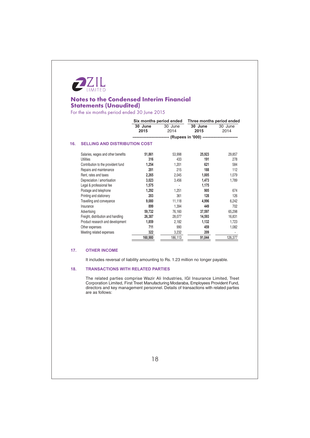

For the six months period ended 30 June 2015

| Six months period ended |                                      |         | Three months period ended                                             |  |
|-------------------------|--------------------------------------|---------|-----------------------------------------------------------------------|--|
| 30 June                 | 30 June                              | 30 June | 30 June                                                               |  |
| 2015                    | 2014                                 | 2015    | 2014                                                                  |  |
|                         |                                      |         |                                                                       |  |
|                         |                                      |         |                                                                       |  |
| 51,861                  | 53,998                               | 25,923  | 29,857                                                                |  |
| 316                     | 433                                  | 191     | 278                                                                   |  |
| 1,254                   | 1,201                                | 621     | 584                                                                   |  |
| 201                     | 215                                  | 188     | 112                                                                   |  |
| 2,265                   | 2,045                                | 1,005   | 1,079                                                                 |  |
| 3,023                   | 3,456                                | 1,473   | 1,789                                                                 |  |
| 1,575                   |                                      | 1,175   |                                                                       |  |
| 1,292                   | 1,251                                | 905     | 674                                                                   |  |
| 203                     | 361                                  | 128     | 126                                                                   |  |
| 9,080                   | 11,118                               | 4,996   | 6,242                                                                 |  |
| 899                     | 1,394                                | 449     | 702                                                                   |  |
| 59,732                  | 76,160                               | 37,597  | 65,298                                                                |  |
| 26,387                  | 28,077                               | 14,593  | 16,831                                                                |  |
| 1,859                   | 2,182                                | 1,132   | 1,723                                                                 |  |
| 711                     | 990                                  | 459     | 1,082                                                                 |  |
| 322                     | 3,232                                | 209     |                                                                       |  |
| 160,980                 | 186,113                              | 91,044  | 126,377                                                               |  |
|                         | <b>SELLING AND DISTRIBUTION COST</b> |         | ------------------------ (Rupees in '000) --------------------------- |  |

#### $17.$ **OTHER INCOME**

It includes reversal of liability amounting to Rs. 1.23 million no longer payable.

#### $18.$ **TRANSACTIONS WITH RELATED PARTIES**

The related parties comprise Wazir Ali Industries, IGI Insurance Limited, Treet Corporation Limited, First Treet Manufacturing Modaraba, Employees Provident Fund, directors and key management personnel. Details of transactions with related parties are as follows: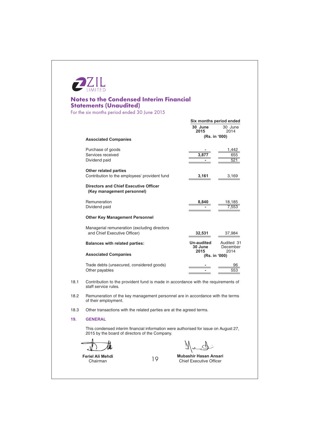

For the six months period ended 30 June 2015

|      |                                                                                                                                        | Six months period ended       |                                |  |  |
|------|----------------------------------------------------------------------------------------------------------------------------------------|-------------------------------|--------------------------------|--|--|
|      |                                                                                                                                        | 30 June<br>2015               | 30 June<br>2014                |  |  |
|      | <b>Associated Companies</b>                                                                                                            | (Rs. in '000)                 |                                |  |  |
|      | Purchase of goods<br>Services received<br>Dividend paid                                                                                | 3,87                          | 1,442<br>655<br>521            |  |  |
|      | <b>Other related parties</b><br>Contribution to the employees' provident fund                                                          | 3,161                         | 3,169                          |  |  |
|      | <b>Directors and Chief Executive Officer</b><br>(Key management personnel)                                                             |                               |                                |  |  |
|      | Remuneration<br>Dividend paid                                                                                                          | 8,840                         | 18,185<br>7.553                |  |  |
|      | <b>Other Key Management Personnel</b>                                                                                                  |                               |                                |  |  |
|      | Managerial remuneration (excluding directors<br>and Chief Executive Officer)                                                           | 32,531                        | 37,984                         |  |  |
|      | <b>Balances with related parties:</b>                                                                                                  | Un-audited<br>30 June<br>2015 | Audited 31<br>December<br>2014 |  |  |
|      | <b>Associated Companies</b>                                                                                                            | (Rs. in '000)                 |                                |  |  |
|      | Trade debts (unsecured, considered goods)<br>Other payables                                                                            |                               | 553                            |  |  |
| 18.1 | Contribution to the provident fund is made in accordance with the requirements of<br>staff service rules.                              |                               |                                |  |  |
| 18.2 | Remuneration of the key management personnel are in accordance with the terms<br>of their employment.                                  |                               |                                |  |  |
| 18.3 | Other transactions with the related parties are at the agreed terms.                                                                   |                               |                                |  |  |
| 19.  | <b>GENERAL</b>                                                                                                                         |                               |                                |  |  |
|      | This condensed interim financial information were authorised for issue on August 27,<br>2015 by the board of directors of the Company. |                               |                                |  |  |
|      |                                                                                                                                        |                               |                                |  |  |

19

Feriel Ali Mehdi Chairman

 $\sqrt[3]{r}$ ₩

Mubashir Hasan Ansari Chief Executive Officer